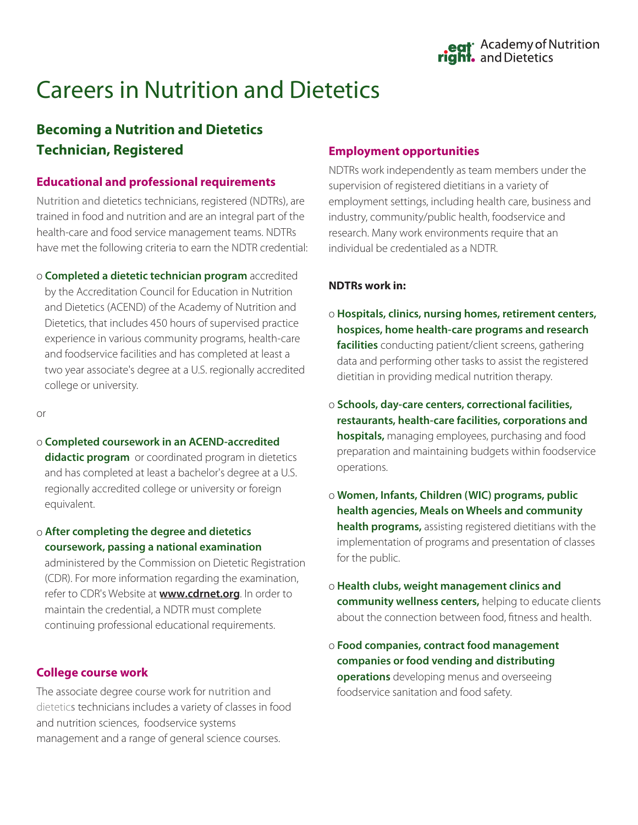# Careers in Nutrition and Dietetics

# **Becoming a Nutrition and Dietetics Technician, Registered**

### **Educational and professional requirements**

Nutrition and dietetics technicians, registered (NDTRs), are trained in food and nutrition and are an integral part of the health-care and food service management teams. NDTRs have met the following criteria to earn the NDTR credential:

o **Completed a dietetic technician program** accredited by the Accreditation Council for Education in Nutrition and Dietetics (ACEND) of the Academy of Nutrition and Dietetics, that includes 450 hours of supervised practice experience in various community programs, health-care and foodservice facilities and has completed at least a two year associate's degree at a U.S. regionally accredited college or university.

or

o **Completed coursework in an ACEND-accredited**

**didactic program** or coordinated program in dietetics and has completed at least a bachelor's degree at a U.S. regionally accredited college or university or foreign equivalent.

o **After completing the degree and dietetics coursework, passing a national examination**

administered by the Commission on Dietetic Registration (CDR). For more information regarding the examination, refer to CDR's Website at **www.cdrnet.org**. In order to maintain the credential, a NDTR must complete continuing professional educational requirements.

### **College course work**

The associate degree course work for nutrition and dietetics technicians includes a variety of classes in food and nutrition sciences, foodservice systems management and a range of general science courses.

#### **Employment opportunities**

NDTRs work independently as team members under the supervision of registered dietitians in a variety of employment settings, including health care, business and industry, community/public health, foodservice and research. Many work environments require that an individual be credentialed as a NDTR.

#### **NDTRs work in:**

- o **Hospitals, clinics, nursing homes, retirement centers, hospices, home health-care programs and research facilities** conducting patient/client screens, gathering data and performing other tasks to assist the registered dietitian in providing medical nutrition therapy.
- o **Schools, day-care centers, correctional facilities, restaurants, health-care facilities, corporations and hospitals,** managing employees, purchasing and food preparation and maintaining budgets within foodservice operations.
- o **Women, Infants, Children (WIC) programs, public health agencies, Meals on Wheels and community health programs,** assisting registered dietitians with the implementation of programs and presentation of classes for the public.
- o **Health clubs, weight management clinics and community wellness centers,** helping to educate clients about the connection between food, fitness and health.
- o **Food companies, contract food management companies or food vending and distributing operations** developing menus and overseeing foodservice sanitation and food safety.